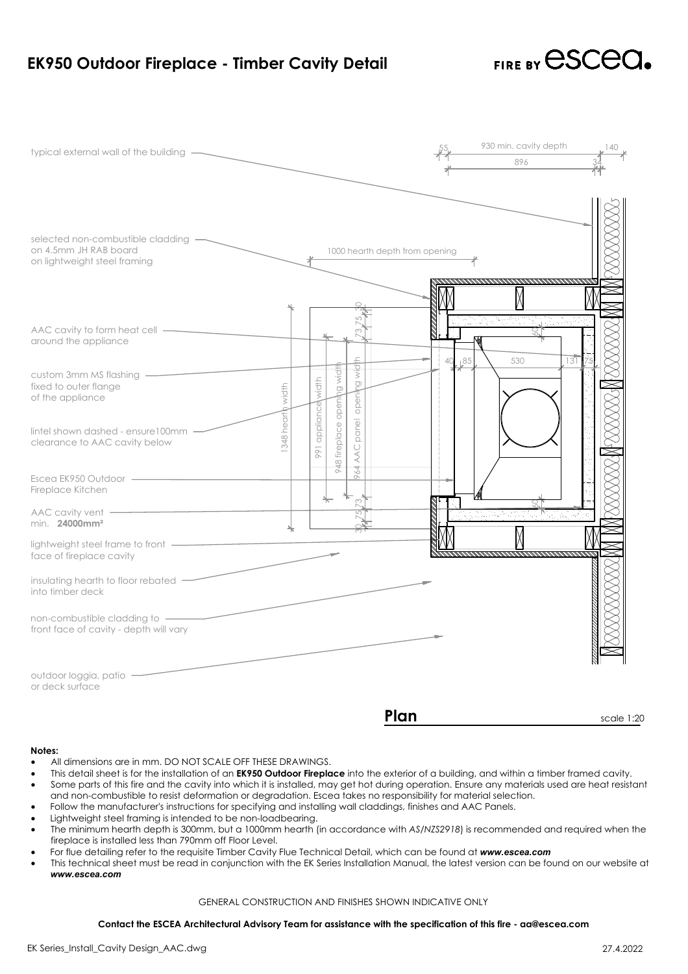

## **Notes:**

- All dimensions are in mm. DO NOT SCALE OFF THESE DRAWINGS.
- All dimensions are in mm. DO NOT SCALE OFF THESE DRAWINGS.<br>This detail sheet is for the installation of an **EK950 Outdoor Fireplace** into the exterior of a building, and within a<br>Some parts of this fire and the cavity into vall dimensions are in mm. DO NOT SCALE OFF THESE DRAWINGS.<br>
• All dimensions are in mm. DO NOT SCALE OFF THESE DRAWINGS.<br>
• Some parts of this fire and the cavity into which it is installed, may get hot during operation. Notes:<br>• All dimensions are in mm. DO NOT SCALE OFF THESE DRAWIN<br>• This detail sheet is for the installation of an **EK950 Outdoor Fire**<br>• Some parts of this fire and the cavity into which it is installed,<br>• Follow the manu • All dimensions are in mm. DO NOT SCALE OFF THESE DRAWINGS.<br>• This detail sheet is for the installation of an **EK950 Outdoor Fireplace** into the exterior of a building, and within a timber framed cavity.<br>• Some parts of t
- 
- 
- 
- Follow the manufacturer's instructions for specifying<br>Lightweight steel framing is intended to be non-load<br>The minimum hearth depth is 300mm, but a 1000mm<br>fireplace is installed less than 790mm off Floor Level. • This technical sheet must be read in conjunction with the EK Series Installation. Kannon Manual, the latest more institutions for specifying and installing wall claddings, finishes and AAC Panels.<br>• Lightweight steel fra ed to be non-loadbearing.<br>hm, but a 1000mm hearth (in accordance with AS/NZS2918) is rec<br>hm off Floor Level.<br>site Timber Cavity Flue Technical Detail, which can be found at **w**<br>in conjunction with the EK Series Installatio For the and the Control of the Control of the Sistemation of degradation. Escea takes no responsibility for material selection.<br>
Combustible to resist deformation or degradation. Escea takes no responsibility for material
- 
-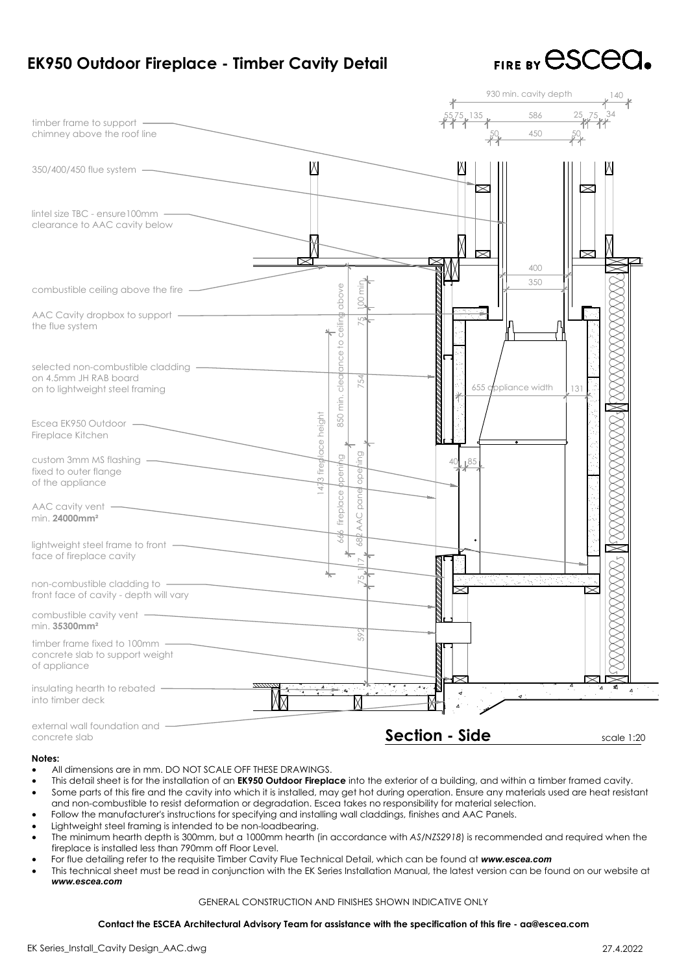

| EK950 Outdoor Fireplace - Timber Cavity Detail                                                                                                                                                                                                                                                                           |                                                                                                                                                                                                                                                                                                                                                                                                                                                                                                                                                                                                                                                                                                                                                                                                                                                                                                                                            | FIRE BY CSCCC                       |
|--------------------------------------------------------------------------------------------------------------------------------------------------------------------------------------------------------------------------------------------------------------------------------------------------------------------------|--------------------------------------------------------------------------------------------------------------------------------------------------------------------------------------------------------------------------------------------------------------------------------------------------------------------------------------------------------------------------------------------------------------------------------------------------------------------------------------------------------------------------------------------------------------------------------------------------------------------------------------------------------------------------------------------------------------------------------------------------------------------------------------------------------------------------------------------------------------------------------------------------------------------------------------------|-------------------------------------|
|                                                                                                                                                                                                                                                                                                                          |                                                                                                                                                                                                                                                                                                                                                                                                                                                                                                                                                                                                                                                                                                                                                                                                                                                                                                                                            | 930 min. cavity depth               |
| timber frame to support -<br>chimney above the roof line                                                                                                                                                                                                                                                                 |                                                                                                                                                                                                                                                                                                                                                                                                                                                                                                                                                                                                                                                                                                                                                                                                                                                                                                                                            | 586 25 <sub>k</sub> 75<br>450       |
| 350/400/450 flue system —                                                                                                                                                                                                                                                                                                | K                                                                                                                                                                                                                                                                                                                                                                                                                                                                                                                                                                                                                                                                                                                                                                                                                                                                                                                                          | $\times$                            |
| $line$ lintel size TBC - ensure 100mm $-$<br>clearance to AAC cavity below                                                                                                                                                                                                                                               |                                                                                                                                                                                                                                                                                                                                                                                                                                                                                                                                                                                                                                                                                                                                                                                                                                                                                                                                            | $\approx$<br>$\approx$              |
| combustible ceiling above the fire -                                                                                                                                                                                                                                                                                     | Ē                                                                                                                                                                                                                                                                                                                                                                                                                                                                                                                                                                                                                                                                                                                                                                                                                                                                                                                                          | 400<br>350                          |
| AAC Cavity dropbox to support -<br>the flue system                                                                                                                                                                                                                                                                       | ceiling above                                                                                                                                                                                                                                                                                                                                                                                                                                                                                                                                                                                                                                                                                                                                                                                                                                                                                                                              |                                     |
| selected non-combustible cladding -<br>on 4.5mm JH RAB board<br>on to lightweight steel framing                                                                                                                                                                                                                          | ance to<br>clear<br>754                                                                                                                                                                                                                                                                                                                                                                                                                                                                                                                                                                                                                                                                                                                                                                                                                                                                                                                    | 655 appliance width<br>131          |
| Escea EK950 Outdoor -<br>Fireplace Kitchen                                                                                                                                                                                                                                                                               | 850 min.<br>3 fireplace height                                                                                                                                                                                                                                                                                                                                                                                                                                                                                                                                                                                                                                                                                                                                                                                                                                                                                                             |                                     |
| custom 3mm MS flashing<br>fixed to outer flange<br>of the appliance                                                                                                                                                                                                                                                      | ppeni/<br>ope                                                                                                                                                                                                                                                                                                                                                                                                                                                                                                                                                                                                                                                                                                                                                                                                                                                                                                                              | 85                                  |
| $AAC$ cavity vent $-$<br>min. 24000mm <sup>2</sup>                                                                                                                                                                                                                                                                       | AAC pane<br>fireplace                                                                                                                                                                                                                                                                                                                                                                                                                                                                                                                                                                                                                                                                                                                                                                                                                                                                                                                      |                                     |
| lightweight steel frame to front -<br>face of fireplace cavity                                                                                                                                                                                                                                                           | 39                                                                                                                                                                                                                                                                                                                                                                                                                                                                                                                                                                                                                                                                                                                                                                                                                                                                                                                                         |                                     |
| non-combustible cladding to -<br>front face of cavity - depth will vary                                                                                                                                                                                                                                                  |                                                                                                                                                                                                                                                                                                                                                                                                                                                                                                                                                                                                                                                                                                                                                                                                                                                                                                                                            | an a                                |
| combustible cavity vent -<br>min. 35300mm <sup>2</sup>                                                                                                                                                                                                                                                                   | 592                                                                                                                                                                                                                                                                                                                                                                                                                                                                                                                                                                                                                                                                                                                                                                                                                                                                                                                                        |                                     |
| timber frame fixed to 100mm -<br>concrete slab to support weight<br>of appliance                                                                                                                                                                                                                                         |                                                                                                                                                                                                                                                                                                                                                                                                                                                                                                                                                                                                                                                                                                                                                                                                                                                                                                                                            |                                     |
| insulating hearth to rebated -<br>into timber deck                                                                                                                                                                                                                                                                       | 5년 후 최                                                                                                                                                                                                                                                                                                                                                                                                                                                                                                                                                                                                                                                                                                                                                                                                                                                                                                                                     |                                     |
| external wall foundation and<br>concrete slab                                                                                                                                                                                                                                                                            |                                                                                                                                                                                                                                                                                                                                                                                                                                                                                                                                                                                                                                                                                                                                                                                                                                                                                                                                            | <b>Section - Side</b><br>scale 1:20 |
| Notes:<br>All dimensions are in mm. DO NOT SCALE OFF THESE DRAWINGS.<br>$\bullet$<br>$\bullet$<br>$\bullet$<br>$\bullet$<br>Lightweight steel framing is intended to be non-loadbearing.<br>$\bullet$<br>$\bullet$<br>fireplace is installed less than 790mm off Floor Level.<br>$\bullet$<br>$\bullet$<br>www.escea.com | This detail sheet is for the installation of an <b>EK950 Outdoor Fireplace</b> into the exterior of a building, and within a timber framed cavity.<br>Some parts of this fire and the cavity into which it is installed, may get hot during operation. Ensure any materials used are heat resistant<br>and non-combustible to resist deformation or degradation. Escea takes no responsibility for material selection.<br>Follow the manufacturer's instructions for specifying and installing wall claddings, finishes and AAC Panels.<br>The minimum hearth depth is 300mm, but a 1000mm hearth (in accordance with AS/NZS2918) is recommended and required when the<br>For flue detailing refer to the requisite Timber Cavity Flue Technical Detail, which can be found at www.escea.com<br>This technical sheet must be read in conjunction with the EK Series Installation Manual, the latest version can be found on our website at |                                     |
|                                                                                                                                                                                                                                                                                                                          | GENERAL CONSTRUCTION AND FINISHES SHOWN INDICATIVE ONLY                                                                                                                                                                                                                                                                                                                                                                                                                                                                                                                                                                                                                                                                                                                                                                                                                                                                                    |                                     |
|                                                                                                                                                                                                                                                                                                                          | Contact the ESCEA Architectural Advisory Team for assistance with the specification of this fire - aa@escea.com                                                                                                                                                                                                                                                                                                                                                                                                                                                                                                                                                                                                                                                                                                                                                                                                                            |                                     |
| EK Series_Install_Cavity Design_AAC.dwg                                                                                                                                                                                                                                                                                  |                                                                                                                                                                                                                                                                                                                                                                                                                                                                                                                                                                                                                                                                                                                                                                                                                                                                                                                                            | 27.4.2022                           |

# **Notes:**

- All dimensions are in mm. DO NOT SCALE OFF THESE DRAWINGS.
- All dimensions are in mm. DO NOT SCALE OFF THESE DRAWINGS.<br>This detail sheet is for the installation of an **EK950 Outdoor Fireplace** into the exterior of a building, and within a<br>Some parts of this fire and the cavity into values:<br>• All dimensions are in mm. DO NOT SCALE OFF THESE DRAWINGS.<br>• This detail sheet is for the installation of an **EK950 Outdoor Fireplace** into the exterior of a building, and with<br>• Some parts of this fire and the c Notes:<br>• All dimensions are in mm. DO NOT SCALE OFF THESE DRAWIN<br>• This detail sheet is for the installation of an **EK950 Outdoor Fire**<br>• Some parts of this fire and the cavity into which it is installed,<br>• Follow the manu • All dimensions are in mm. DO NOT SCALE OFF THESE DRAWINGS.<br>• This detail sheet is for the installation of an **EK950 Outdoor Fireplace** into the exterior of a building, and within a timber framed cavity.<br>• Some parts of t For flue detailing refer to the requisite Timber Cavity Flue Technical Detail, which can be found at **Some parts** of this fire and the covity into which it is installed, may get hot during operation. Ensure any materials c **Contact the ESCEA Architectural Advisory Team for assistance with the specification of this fire - aa@escea.com**<br>
Contact the Simurchian Strep Simurchian Strep (Figure 2010). It steel framing is intended to be non-loadbea
- 
- 
- Follow the manufacturer's instructions for specifying and installing wall claddings, finishes and AAC Panels.<br>Lightweight steel framing is intended to be non-loadbearing.<br>The minimum hearth depth is 300mm, but a 1000mm hea • The minimum hearth depth is 300mm, but a 1000mm hearth (in accordance with AS/NZS2918) is recommended and required when the fireplace is installed less than 790mm off Floor Level.<br>• For flue detailing refer to the requis
- 
- For flue detailing refer to the requisite Timber Cavity Flue Technical Detail, which can be found at www.escea.com<br>This technical sheet must be read in conjunction with the EK Series Installation Manual, the latest version